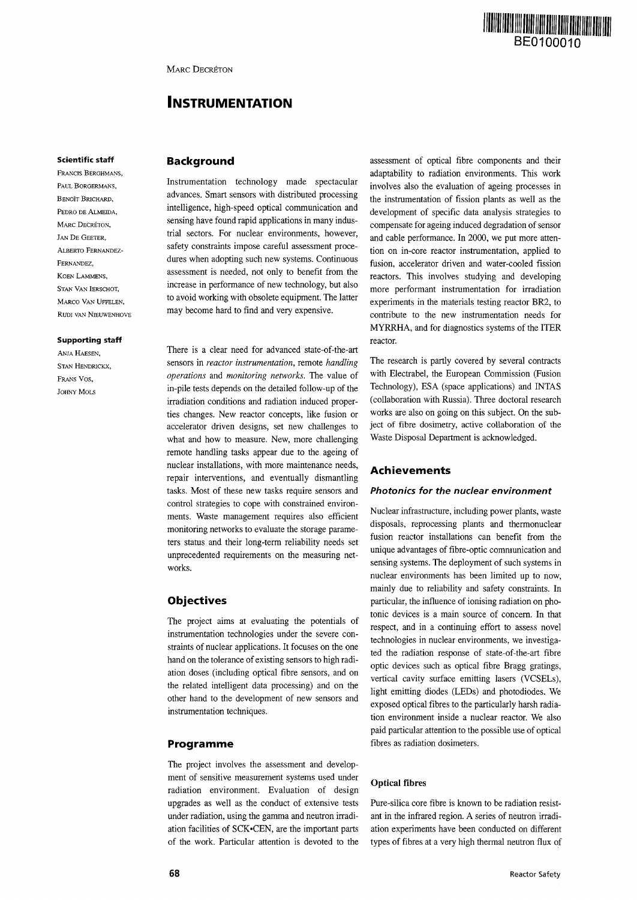

# **INSTRUMENTATION**

#### **Scientific staff**

FRANCIS BERGHMANS, PAUL BORGERMANS, BENOÎT BRICHARD. PEDRO DE ALMEIDA, MARC DECRÉTON, JAN DE GEETER, ALBERTO FERNANDEZ-FERNANDEZ, KOEN LAMMENS, STAN VAN IERSCHOT, MARCO VAN HEEFLEN RUDI VAN NIEUWENHOVE

#### **Supporting staff**

ANJA HAESEN, STAN HENDRICKX, FRANS VOS, JOHNY MOLS

# **Background**

Instrumentation technology made spectacular advances. Smart sensors with distributed processing intelligence, high-speed optical communication and sensing have found rapid applications in many industrial sectors. For nuclear environments, however, safety constraints impose careful assessment procedures when adopting such new systems. Continuous assessment is needed, not only to benefit from the increase in performance of new technology, but also to avoid working with obsolete equipment. The latter may become hard to find and very expensive.

There is a clear need for advanced state-of-the-art sensors in *reactor instrumentation,* remote *handling operations* and *monitoring networks.* The value of in-pile tests depends on the detailed follow-up of the irradiation conditions and radiation induced properties changes. New reactor concepts, like fusion or accelerator driven designs, set new challenges to what and how to measure. New, more challenging remote handling tasks appear due to the ageing of nuclear installations, with more maintenance needs, repair interventions, and eventually dismantling tasks. Most of these new tasks require sensors and control strategies to cope with constrained environments. Waste management requires also efficient monitoring networks to evaluate the storage parameters status and their long-term reliability needs set unprecedented requirements on the measuring networks.

# **Objectives**

The project aims at evaluating the potentials of instrumentation technologies under the severe constraints of nuclear applications. It focuses on the one hand on the tolerance of existing sensors to high radiation doses (including optical fibre sensors, and on the related intelligent data processing) and on the other hand to the development of new sensors and instrumentation techniques.

# **Programme**

The project involves the assessment and development of sensitive measurement systems used under radiation environment. Evaluation of design upgrades as well as the conduct of extensive tests under radiation, using the gamma and neutron irradiation facilities of SCK'CEN, are the important parts of the work. Particular attention is devoted to the

assessment of optical fibre components and their adaptability to radiation environments. This work involves also the evaluation of ageing processes in the instrumentation of fission plants as well as the development of specific data analysis strategies to compensate for ageing induced degradation of sensor and cable performance. In 2000, we put more attention on in-core reactor instrumentation, applied to fusion, accelerator driven and water-cooled fission reactors. This involves studying and developing more performant instrumentation for irradiation experiments in the materials testing reactor BR2, to contribute to the new instrumentation needs for MYRRHA, and for diagnostics systems of the ITER reactor.

The research is partly covered by several contracts with Electrabel, the European Commission (Fusion Technology), ESA (space applications) and INTAS (collaboration with Russia). Three doctoral research works are also on going on this subject. On the subject of fibre dosimetry, active collaboration of the Waste Disposal Department is acknowledged.

# **Achievements**

# Photonics for the nuclear environment

Nuclear infrastructure, including power plants, waste disposals, reprocessing plants and thermonuclear fusion reactor installations can benefit from the unique advantages of fibre-optic communication and sensing systems. The deployment of such systems in nuclear environments has been limited up to now, mainly due to reliability and safety constraints. In particular, the influence of ionising radiation on photonic devices is a main source of concern. In that respect, and in a continuing effort to assess novel technologies in nuclear environments, we investigated the radiation response of state-of-the-art fibre optic devices such as optical fibre Bragg gratings, vertical cavity surface emitting lasers (VCSELs), light emitting diodes (LEDs) and photodiodes. We exposed optical fibres to the particularly harsh radiation environment inside a nuclear reactor. We also paid particular attention to the possible use of optical fibres as radiation dosimeters.

#### **Optical fibres**

Pure-silica core fibre is known to be radiation resistant in the infrared region. A series of neutron irradiation experiments have been conducted on different types of fibres at a very high thermal neutron flux of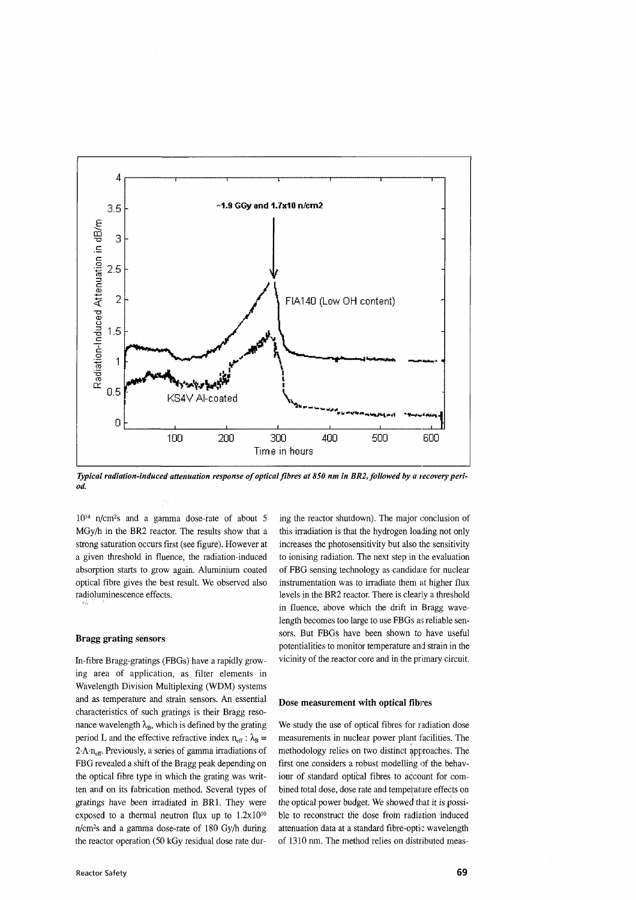

*Typical radiation-induced attenuation response of optical fibres at 850 nm in BR2, followed by a recovery period.*

10<sup>14</sup> n/cm<sup>2</sup> s and a gamma dose-rate of about 5 MGy/h in the BR2 reactor. The results show that a strong saturation occurs first (see figure). However at a given threshold in fluence, the radiation-induced absorption starts to grow again. Aluminium coated optical fibre gives the best result. We observed also radioluminescence effects.

### **Bragg grating sensors**

In-fibre Bragg-gratings (FBGs) have a rapidly growing area of application, as filter elements in Wavelength Division Multiplexing (WDM) systems and as temperature and strain sensors. An essential characteristics of such gratings is their Bragg resonance wavelength  $\lambda_B$ , which is defined by the grating period L and the effective refractive index  $n_{\text{eff}}$ :  $\lambda_B$  =  $2\cdot \Lambda \cdot n_{\text{eff}}$ . Previously, a series of gamma irradiations of FBG revealed a shift of the Bragg peak depending on the optical fibre type in which the grating was written and on its fabrication method. Several types of gratings have been irradiated in BR1. They were exposed to a thermal neutron flux up to  $1.2 \times 10^{10}$ n/cm<sup>2</sup> s and a gamma dose-rate of 180 Gy/h during the reactor operation (50 kGy residual dose rate dur-

ing the reactor shutdown). The major conclusion of this irradiation is that the hydrogen loading not only increases the photosensitivity but also the sensitivity to ionising radiation. The next step in the evaluation of FBG sensing technology as candidate for nuclear instrumentation was to irradiate them at higher flux levels in the BR2 reactor. There is clearly a threshold in fluence, above which the drift in Bragg wavelength becomes too large to use FBGs as reliable sensors. But FBGs have been shown to have useful potentialities to monitor temperature and strain in the vicinity of the reactor core and in the primary circuit.

### **Dose measurement with optical fibres**

We study the use of optical fibres for radiation dose measurements in nuclear power plant facilities. The methodology relies on two distinct approaches. The first one considers a robust modelling of the behaviour of standard optical fibres to account for combined total dose, dose rate and temperature effects on the optical power budget. We showed that it is possible to reconstruct the dose from radiation induced attenuation data at a standard fibre-optic wavelength of 1310 nm. The method relies on distributed meas-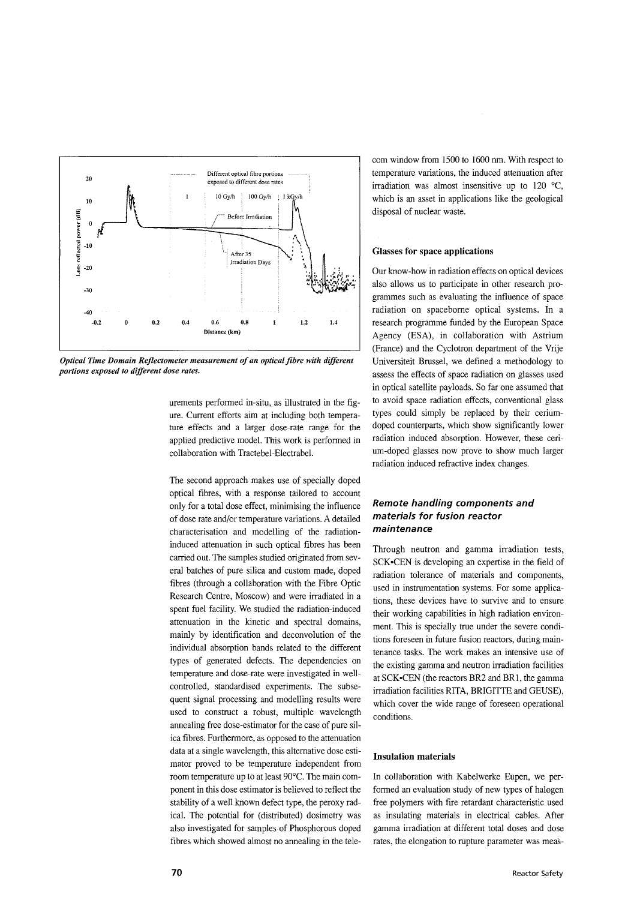

*Optical Time Domain Reflectometer measurement of an optical fibre with different portions exposed to different dose rates.*

urements performed in-situ, as illustrated in the figure. Current efforts aim at including both temperature effects and a larger dose-rate range for the applied predictive model. This work is performed in collaboration with Tractebel-Electrabel.

The second approach makes use of specially doped optical fibres, with a response tailored to account only for a total dose effect, minimising the influence of dose rate and/or temperature variations. A detailed characterisation and modelling of the radiationinduced attenuation in such optical fibres has been carried out. The samples studied originated from several batches of pure silica and custom made, doped fibres (through a collaboration with the Fibre Optic Research Centre, Moscow) and were irradiated in a spent fuel facility. We studied the radiation-induced attenuation in the kinetic and spectral domains, mainly by identification and deconvolution of the individual absorption bands related to the different types of generated defects. The dependencies on temperature and dose-rate were investigated in wellcontrolled, standardised experiments. The subsequent signal processing and modelling results were used to construct a robust, multiple wavelength annealing free dose-estimator for the case of pure silica fibres. Furthermore, as opposed to the attenuation data at a single wavelength, this alternative dose estimator proved to be temperature independent from room temperature up to at least 90°C. The main component in this dose estimator is believed to reflect the stability of a well known defect type, the peroxy radical. The potential for (distributed) dosimetry was also investigated for samples of Phosphorous doped fibres which showed almost no annealing in the telecom window from 1500 to 1600 nm. With respect to temperature variations, the induced attenuation after irradiation was almost insensitive up to 120 °C, which is an asset in applications like the geological disposal of nuclear waste.

# **Glasses for space applications**

Our know-how in radiation effects on optical devices also allows us to participate in other research programmes such as evaluating the influence of space radiation on spaceborne optical systems. In a research programme funded by the European Space Agency (ESA), in collaboration with Astrium (France) and the Cyclotron department of the Vrije Universiteit Brussel, we defined a methodology to assess the effects of space radiation on glasses used in optical satellite payloads. So far one assumed that to avoid space radiation effects, conventional glass types could simply be replaced by their ceriumdoped counterparts, which show significantly lower radiation induced absorption. However, these cerium-doped glasses now prove to show much larger radiation induced refractive index changes.

# Remote handling components and materials for fusion reactor maintenance

Through neutron and gamma irradiation tests, SCK'CEN is developing an expertise in the field of radiation tolerance of materials and components, used in instrumentation systems. For some applications, these devices have to survive and to ensure their working capabilities in high radiation environment. This is specially true under the severe conditions foreseen in future fusion reactors, during maintenance tasks. The work makes an intensive use of the existing gamma and neutron irradiation facilities at SCK'CEN (the reactors BR2 and BR1, the gamma irradiation facilities RITA, BRIGITTE and GEUSE), which cover the wide range of foreseen operational conditions.

# **Insulation materials**

In collaboration with Kabelwerke Eupen, we performed an evaluation study of new types of halogen free polymers with fire retardant characteristic used as insulating materials in electrical cables. After gamma irradiation at different total doses and dose rates, the elongation to rupture parameter was meas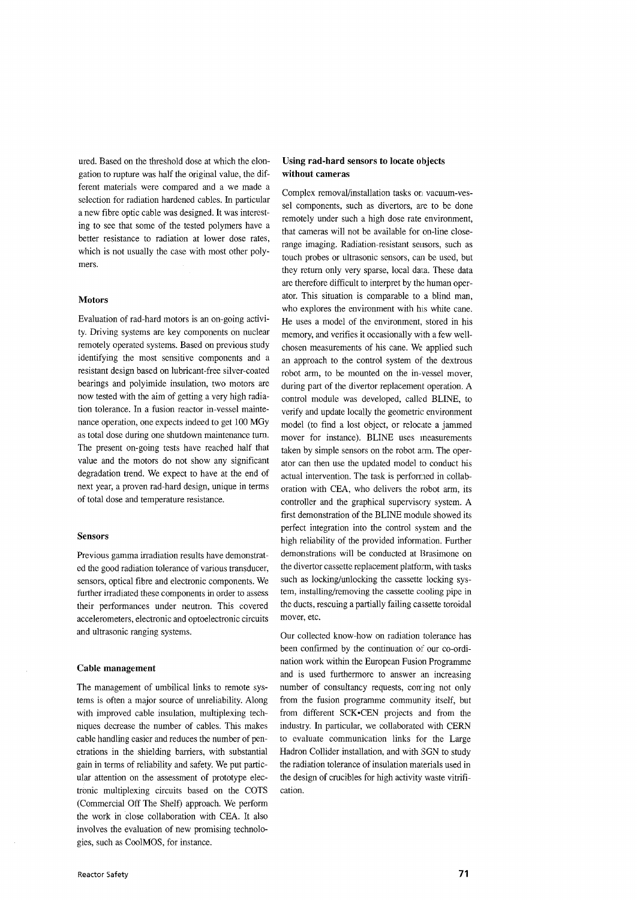ured. Based on the threshold dose at which the elongation to rupture was half the original value, the different materials were compared and a we made a selection for radiation hardened cables. In particular a new fibre optic cable was designed. It was interesting to see that some of the tested polymers have a better resistance to radiation at lower dose rates, which is not usually the case with most other polymers.

#### **Motors**

Evaluation of rad-hard motors is an on-going activity. Driving systems are key components on nuclear remotely operated systems. Based on previous study identifying the most sensitive components and a resistant design based on lubricant-free silver-coated bearings and polyimide insulation, two motors are now tested with the aim of getting a very high radiation tolerance. In a fusion reactor in-vessel maintenance operation, one expects indeed to get 100 MGy as total dose during one shutdown maintenance turn. The present on-going tests have reached half that value and the motors do not show any significant degradation trend. We expect to have at the end of next year, a proven rad-hard design, unique in terms of total dose and temperature resistance.

# **Sensors**

Previous gamma irradiation results have demonstrated the good radiation tolerance of various transducer, sensors, optical fibre and electronic components. We further irradiated these components in order to assess their performances under neutron. This covered accelerometers, electronic and optoelectronic circuits and ultrasonic ranging systems.

#### **Cable management**

The management of umbilical links to remote systems is often a major source of unreliability. Along with improved cable insulation, multiplexing techniques decrease the number of cables. This makes cable handling easier and reduces the number of penetrations in the shielding barriers, with substantial gain in terms of reliability and safety. We put particular attention on the assessment of prototype electronic multiplexing circuits based on the COTS (Commercial Off The Shelf) approach. We perform the work in close collaboration with CEA. It also involves the evaluation of new promising technologies, such as CoolMOS, for instance.

# **Using rad-hard sensors to locate objects without cameras**

Complex removal/installation tasks on vacuum-vessel components, such as divertors, are to be done remotely under such a high dose rate environment, that cameras will not be available for on-line closerange imaging. Radiation-resistant sensors, such as touch probes or ultrasonic sensors, can be used, but they return only very sparse, local data. These data are therefore difficult to interpret by the human operator. This situation is comparable to a blind man, who explores the environment with his white cane. He uses a model of the environment, stored in his memory, and verifies it occasionally with a few wellchosen measurements of his cane. We applied such an approach to the control system of the dextrous robot arm, to be mounted on the in-vessel mover, during part of the divertor replacement operation. A control module was developed, called BLINE, to verify and update locally the geometric environment model (to find a lost object, or relocate a jammed mover for instance). BLINE uses measurements taken by simple sensors on the robot arm. The operator can then use the updated model to conduct his actual intervention. The task is performed in collaboration with CEA, who delivers the robot arm, its controller and the graphical supervisory system. A first demonstration of the BLINE module showed its perfect integration into the control system and the high reliability of the provided information. Further demonstrations will be conducted at Brasimone on the divertor cassette replacement platform, with tasks such as locking/unlocking the cassette locking system, installing/removing the cassette cooling pipe in the ducts, rescuing a partially failing cassette toroidal mover, etc.

Our collected know-how on radiation tolerance has been confirmed by the continuation of our co-ordination work within the European Fusion Programme and is used furthermore to answer an increasing number of consultancy requests, coming not only from the fusion programme community itself, but from different SCK'CEN projects and from the industry. In particular, we collaborated with CERN to evaluate communication links for the Large Hadron Collider installation, and with SGN to study the radiation tolerance of insulation materials used in the design of crucibles for high activity waste vitrification.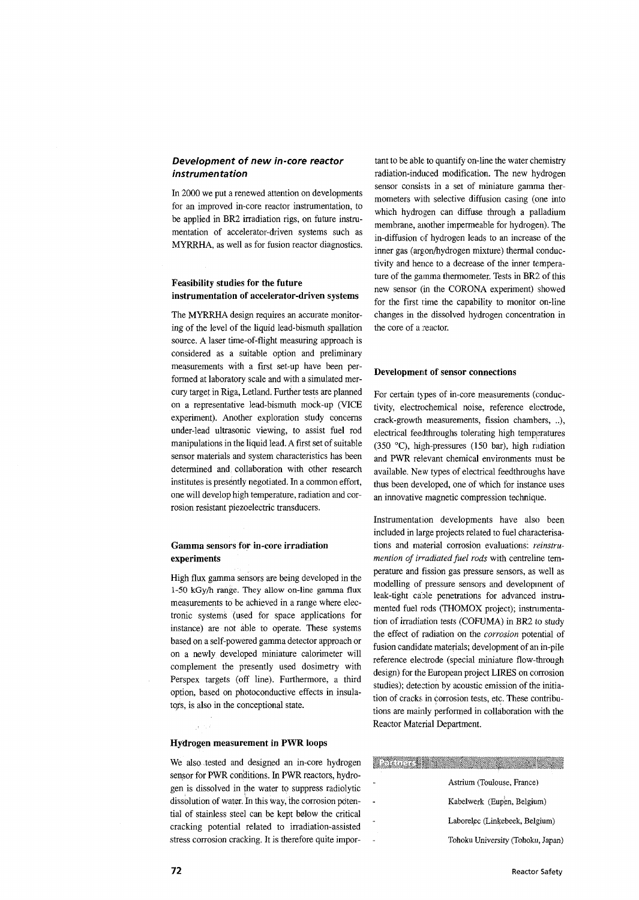# Development of new in-core reactor instrumentation

In 2000 we put a renewed attention on developments for an improved in-core reactor instrumentation, to be applied in BR2 irradiation rigs, on future instrumentation of accelerator-driven systems such as MYRRHA, as well as for fusion reactor diagnostics.

# **Feasibility studies for the future instrumentation of accelerator-driven systems**

The MYRRHA design requires an accurate monitoring of the level of the liquid lead-bismuth spallation source. A laser time-of-flight measuring approach is considered as a suitable option and preliminary measurements with a first set-up have been performed at laboratory scale and with a simulated mercury target in Riga, Letland. Further tests are planned on a representative lead-bismuth mock-up (VICE experiment). Another exploration study concerns under-lead ultrasonic viewing, to assist fuel rod manipulations in the liquid lead. A first set of suitable sensor materials and system characteristics has been determined and: collaboration with other research institutes is presently negotiated. In a common effort, one will develop high temperature, radiation and corrosion resistant piezoelectric transducers.

# **Gamma sensors for in-core irradiation experiments**

High flux gamma sensors are being developed in the 1-50 kGy/h range. They allow on-line gamma flux measurements to be achieved in a range where electronic systems (used for space applications for instance) are not able to operate. These systems based on a self-powered gamma detector approach or on a newly developed miniature calorimeter will complement the presently used dosimetry with Perspex targets (off line). Furthermore, a third option, based on photoconductive effects in insulators, is also in the conceptional state.

# **Hydrogen measurement in PWR loops**

We also tested and designed an in-core hydrogen sensor for PWR conditions. In PWR reactors, hydrogen is dissolved in the water to suppress radiolytic dissolution of water. In this way, the corrosion potential of stainless steel can be kept below the critical cracking potential related to irradiation-assisted stress corrosion cracking. It is therefore quite important to be able: to quantify on-line the water chemistry radiation-induced modification. The new hydrogen sensor consists in a set of miniature gamma thermometers with selective diffusion casing (one into which hydrogen can diffuse through a palladium membrane, another impermeable for hydrogen). The in-diffusion of hydrogen leads to an increase of the inner gas (argon/hydrogen mixture) thermal conductivity and hence to a decrease of the inner temperature of the gamma thermometer. Tests in BR2 of this new sensor (in the CORONA experiment) showed for the first time the capability to monitor on-line changes in the dissolved hydrogen concentration in the core of a reactor.

## Development **of sensor connections**

For certain types of in-core measurements (conductivity, electrochemical noise, reference electrode, crack-growth measurements, fission chambers, ..), electrical feedthroughs tolerating high temperatures (350 °C), high-pressures (150 bar), high radiation and PWR relevant chemical environments must be available. New types of electrical feedthroughs have thus been developed, one of which for instance uses an innovative magnetic compression technique.

Instrumentation developments have also been included in large projects related to fuel characterisations and material corrosion evaluations: *reinstrumention of irradiated fuel rods* with centreline temperature and fission gas pressure sensors, as well as modelling of pressure sensors and development of leak-tight caple penetrations for advanced instrumented fuel rods (THOMOX project); instrumentation of irradiation tests (COFUMA) in BR2 to study the effect of radiation on the *corrosion* potential of fusion candidate materials; development of an in-pile reference electrode (special miniature flow-through design) for the European project LIRES on corrosion studies); detection by acoustic emission of the initiation of cracks in corrosion tests, etc. These contributions are mainly performed in collaboration with the Reactor Material Department.

| <b>Altan Chamber</b> |                                   |
|----------------------|-----------------------------------|
|                      | Astrium (Toulouse, France)        |
|                      | Kabelwerk (Eupen, Belgium)        |
|                      | Laborelec (Linkebeek, Belgium)    |
|                      | Tohoku University (Tohoku, Japan) |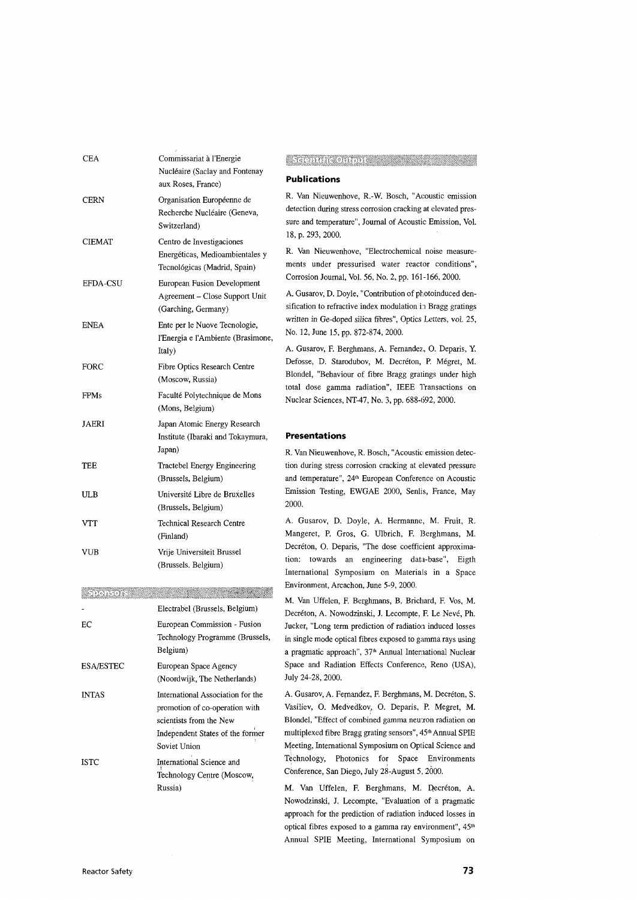| CEA             | Commissariat à l'Energie<br>Nucléaire (Saclay and Fontenay<br>aux Roses, France)                                                                   |
|-----------------|----------------------------------------------------------------------------------------------------------------------------------------------------|
| CERN            | Organisation Européenne de<br>Recherche Nucléaire (Geneva,<br>Switzerland)                                                                         |
| CIEMAT          | Centro de Investigaciones<br>Energéticas, Medioambientales y<br>Tecnológicas (Madrid, Spain)                                                       |
| <b>EFDA-CSU</b> | European Fusion Development<br>Agreement - Close Support Unit<br>(Garching, Germany)                                                               |
| ENEA            | Ente per le Nuove Tecnologie,<br>l'Energia e l'Ambiente (Brasimone,<br>Italy)                                                                      |
| FORC            | Fibre Optics Research Centre<br>(Moscow, Russia)                                                                                                   |
| FPMs            | Faculté Polytechnique de Mons<br>(Mons, Belgium)                                                                                                   |
| JAERI           | Japan Atomic Energy Research<br>Institute (Ibaraki and Tokaymura,<br>Japan)                                                                        |
| TEE             | Tractebel Energy Engineering<br>(Brussels, Belgium)                                                                                                |
| ULB             | Université Libre de Bruxelles<br>(Brussels, Belgium)                                                                                               |
| VTT             | Technical Research Centre<br>(Finland)                                                                                                             |
| VUB             | Vrije Universiteit Brussel<br>(Brussels. Belgium)                                                                                                  |
|                 |                                                                                                                                                    |
|                 | Electrabel (Brussels, Belgium)                                                                                                                     |
| ЕC              | European Commission - Fusion<br>Technology Programme (Brussels,<br>Belgium)                                                                        |
| ESA/ESTEC       | European Space Agency<br>(Noordwijk, The Netherlands)                                                                                              |
| <b>INTAS</b>    | International Association for the<br>promotion of co-operation with<br>scientists from the New<br>Independent States of the former<br>Soviet Union |
| <b>ISTC</b>     | International Science and<br>Technology Centre (Moscow,<br>Russia)                                                                                 |

# **Cardinal Commentary Comments**

### **Publications**

R. Van Nieuwenhove, R.-W. Bosch, "Acoustic emission detection during stress corrosion cracking at elevated pressure and temperature", Journal of Acoustic Emission, Vol. 18, p. 293, 2000.

R. Van Nieuwenhove, "Electrochemical noise measurements under pressurised water reactor conditions", Corrosion Journal, Vol. 56, No. 2, pp. 161-166, 2000.

A. Gusarov, D. Doyle, "Contribution of photoinduced densification to refractive index modulation in Bragg gratings written in Ge-doped silica fibres", Optics Letters, vol. 25, No. 12, June 15, pp. 872-874, 2000.

A. Gusarov, F. Berghmans, A. Fernandez, O. Deparis, Y. Defosse, D. Starodubov, M. Decréton, P. Mégret, M. Blondel, "Behaviour of fibre Bragg gratings under high total dose gamma radiation", IEEE Transactions on Nuclear Sciences, NT-47, No. 3, pp. 688-692, 2000.

#### **Presentations**

R. Van Nieuwenhove, R. Bosch, "Acoustic: emission detection during stress corrosion cracking at elevated pressure and temperature", 24<sup>th</sup> European Conference on Acoustic Emission Testing, EWGAE 2000, Senlis, France, May 2000.

A. Gusarov, D. Doyle, A. Hermanne, M. Fruit, R. Mangeret, P. Gros, G. Ulbrich, F. Berghmans, M. Decréton, O. Deparis, "The dose coefficient approximation: towards an engineering data-base", Eigth International Symposium on Materials in a Space Environment, Arcachon, June 5-9, 2000.

M. Van Uffelen, F. Berghmans, B. Brichard, F. Vos, M. Decréton, A. Nowodzinski, J. Lecompte, F. Le Nevé, Ph. Jucker, "Long term prediction of radiation induced losses in single mode optical fibres exposed to gamma rays using a pragmatic approach", 37<sup>th</sup> Annual International Nuclear Space and Radiation Effects Conference, Reno (USA), July 24-28, 2000.

A. Gusarov, A. Fernandez, F. Berghmans, M. Decréton, S. Vasiliev, O. Medvedkov, O. Deparis, P. Megret, M. Blondel, "Effect of combined gamma neu ron radiation on multiplexed fibre Bragg grating sensors", 45<sup>th</sup> Annual SPIE Meeting, International Symposium on Optical Science and Technology, Photonics for Space Environments Conference, San Diego, July 28-August 5, 2000.

M. Van Uffelen, F. Berghmans, M. Decréton, A. Nowodzinski, J. Lecompte, "Evaluation of a pragmatic approach for the prediction of radiation induced losses in optical fibres exposed to a gamma ray environment", 45<sup>th</sup> Annual SPIE Meeting, International Symposium on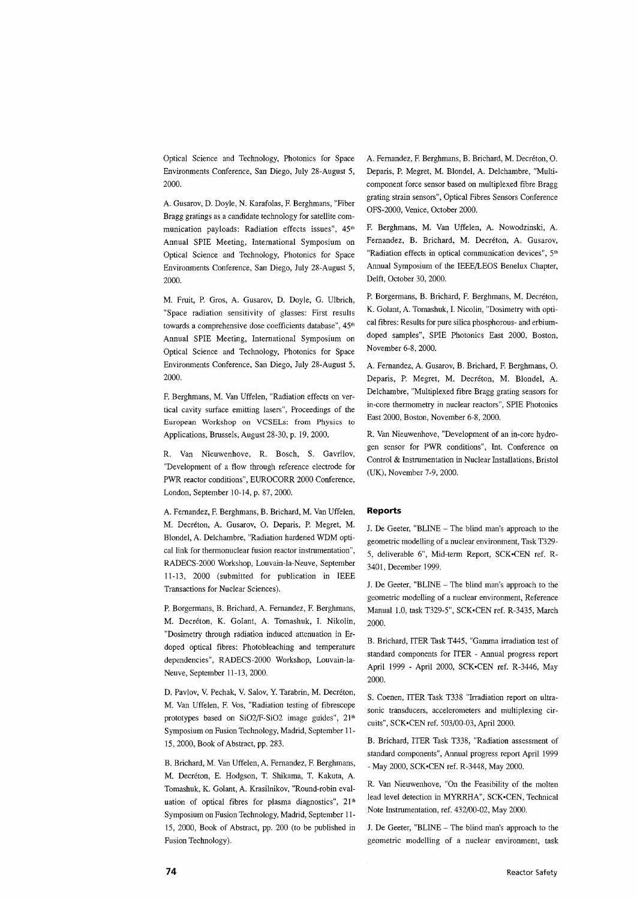Optical Science and Technology, Photonics for Space Environments Conference, San Diego, July 28-August 5, 2000.

A. Gusarov, D. Doyle, N. Karafolas, F. Berghmans, "Fiber Bragg gratings as a candidate technology for satellite communication payloads: Radiation effects issues", 45<sup>th</sup> Annual SPIE Meeting, International Symposium on Optical Science and Technology, Photonics for Space Environments Conference, San Diego, July 28-August 5, 2000.

M. Fruit, P. Gros, A. Gusarov, D. Doyle, G. Ulbrich, "Space radiation sensitivity of glasses: First results towards a comprehensive dose coefficients database", 45<sup>th</sup> Annual SPIE Meeting, International Symposium on Optical Science and Technology, Photonics for Space Environments Conference, San Diego, July 28-August 5, 2000.

F. Berghmans, M. Van Uffelen, "Radiation effects on vertical cavity surface emitting lasers", Proceedings of the European Workshop on VCSELs: from Physics to Applications, Brussels, August 28-30, p. 19, 2000.

R. Van Nieuwenhove, R. Bosch, S. Gavrilov, "Development of a flow through reference electrode for PWR reactor conditions", EUROCORR 2000 Conference, London, September 10-14, p. 87, 2000.

A. Fernandez, F. Berghmans, B. Brichard, M. Van Uffelen, M. Decreton, A. Gusarov, O. Deparis, P. Megret, M. Blondel, A. Delchambre, "Radiation hardened WDM optical link for thermonuclear fusion reactor instrumentation", RADECS-2000 Workshop, Louvain-la-Neuve, September 11-13, 2000 (submitted for publication in IEEE Transactions for Nuclear Sciences).

P. Borgermans, B. Brichard, A. Fernandez, F. Berghmans, M. Decréton, K. Golant, A. Tomashuk, I. Nikolin, "Dosimetry through radiation induced attenuation in Erdoped optical fibres: Photobleaching and temperature dependencies", RADECS-2000 Workshop, Louvain-la-Neuve, September 11-13, 2000.

D. Pavlov, V. Pechak, V. Salov, Y. Tarabrin, M. Decréton, M. Van Uffelen, F. Vos, "Radiation testing of fibrescope prototypes based on SiO2/F-SiO2 image guides", 21<sup>th</sup> Symposium on Fusion Technology, Madrid, September 11- 15, 2000, Book of Abstract, pp. 283.

B. Brichard, M. Van Uffelen, A. Fernandez, F. Berghmans, M. Decreton, E. Hodgson, T. Shikama, T. Kakuta, A. Tomashuk, K. Golant, A. Krasilnikov, "Round-robin evaluation of optical fibres for plasma diagnostics", 21<sup>th</sup> Symposium on Fusion Technology, Madrid, September 11- 15, 2000, Book of Abstract, pp. 200 (to be published in Fusion Technology).

A. Fernandez, F. Berghmans, B. Brichard, M. Decréton, O. Deparis, P. Megret, M. Blondel, A. Delchambre, "Multicomponent force sensor based on multiplexed fibre Bragg grating strain sensors", Optical Fibres Sensors Conference OFS-2000, Venice, October 2000.

F. Berghmans, M. Van Uffelen, A. Nowodzinski, A. Fernandez, B. Brichard, M. Decréton, A. Gusarov, "Radiation effects in optical communication devices", 5<sup>th</sup> Annual Symposium of the IEEE/LEOS Benelux Chapter, Delft, October 30, 2000.

P. Borgermans, B. Brichard, F. Berghmans, M. Decréton, K. Golant, A. Tomashuk, I. Nicolin, "Dosimetry with optical fibres: Results for pure silica phosphorous- and erbiumdoped samples", SPIE Photonics East 2000, Boston, November 6-8, 2000.

A. Fernandez, A. Gusarov, B. Brichard, F. Berghmans, O. Deparis, P. Megret, M. Decréton, M. Blondel, A. Delchambre, "Multiplexed fibre Bragg grating sensors for in-core thermometry in nuclear reactors", SPIE Photonics East 2000, Boston, November 6-8, 2000.

R. Van Nieuwenhove, "Development of an in-core hydrogen sensor for PWR conditions", Int. Conference on Control & Instrumentation in Nuclear Installations, Bristol (UK), November 7-9, 2000.

#### **Reports**

J. De Geeter, "BLINE - The blind man's approach to the geometric modelling of a nuclear environment, Task T329- 5, deliverable 6", Mid-term Report, SCK-CEN ref. R-3401, December 1999.

J. De Geeter, "BLINE - The blind man's approach to the geometric modelling of a nuclear environment, Reference Manual 1.0, task T329-5", SCK-CEN ref. R-3435, March 2000.

B. Brichard, ITER Task T445, "Gamma irradiation test of standard components for ITER - Annual progress report April 1999 - April 2000, SCK-CEN ref. R-3446, May 2000.

S. Coenen, ITER Task T338 "Irradiation report on ultrasonic transducers, accelerometers and multiplexing circuits", SCK-CEN ref. 503/00-03, April 2000.

B. Brichard, ITER Task T338, "Radiation assessment of standard components", Annual progress report April 1999 - May 2000, SCK-CEN ref. R-3448, May 2000.

R. Van Nieuwenhove, "On the Feasibility of the molten lead level detection in MYRRHA", SCK-CEN, Technical Note Instrumentation, ref. 432/00-02, May 2000.

J. De Geeter, "BLINE - The blind man's approach to the geometric modelling of a nuclear environment, task